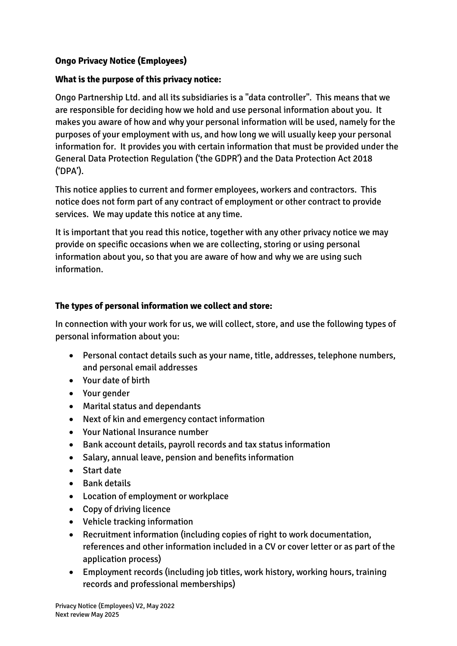# **Ongo Privacy Notice (Employees)**

#### **What is the purpose of this privacy notice:**

Ongo Partnership Ltd. and all its subsidiaries is a "data controller". This means that we are responsible for deciding how we hold and use personal information about you. It makes you aware of how and why your personal information will be used, namely for the purposes of your employment with us, and how long we will usually keep your personal information for. It provides you with certain information that must be provided under the General Data Protection Regulation ('the GDPR') and the Data Protection Act 2018 ('DPA').

This notice applies to current and former employees, workers and contractors. This notice does not form part of any contract of employment or other contract to provide services. We may update this notice at any time.

It is important that you read this notice, together with any other privacy notice we may provide on specific occasions when we are collecting, storing or using personal information about you, so that you are aware of how and why we are using such information.

#### **The types of personal information we collect and store:**

In connection with your work for us, we will collect, store, and use the following types of personal information about you:

- Personal contact details such as your name, title, addresses, telephone numbers, and personal email addresses
- Your date of birth
- Your gender
- Marital status and dependants
- Next of kin and emergency contact information
- Your National Insurance number
- Bank account details, payroll records and tax status information
- Salary, annual leave, pension and benefits information
- Start date
- Bank details
- Location of employment or workplace
- Copy of driving licence
- Vehicle tracking information
- Recruitment information (including copies of right to work documentation, references and other information included in a CV or cover letter or as part of the application process)
- Employment records (including job titles, work history, working hours, training records and professional memberships)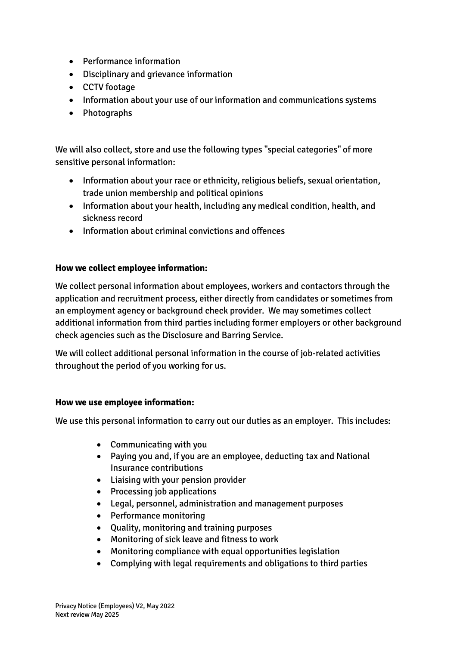- Performance information
- Disciplinary and grievance information
- CCTV footage
- Information about your use of our information and communications systems
- Photographs

We will also collect, store and use the following types "special categories" of more sensitive personal information:

- Information about your race or ethnicity, religious beliefs, sexual orientation, trade union membership and political opinions
- Information about your health, including any medical condition, health, and sickness record
- Information about criminal convictions and offences

#### **How we collect employee information:**

We collect personal information about employees, workers and contactors through the application and recruitment process, either directly from candidates or sometimes from an employment agency or background check provider. We may sometimes collect additional information from third parties including former employers or other background check agencies such as the Disclosure and Barring Service.

We will collect additional personal information in the course of job-related activities throughout the period of you working for us.

#### **How we use employee information:**

We use this personal information to carry out our duties as an employer. This includes:

- Communicating with you
- Paying you and, if you are an employee, deducting tax and National Insurance contributions
- Liaising with your pension provider
- Processing job applications
- Legal, personnel, administration and management purposes
- Performance monitoring
- Quality, monitoring and training purposes
- Monitoring of sick leave and fitness to work
- Monitoring compliance with equal opportunities legislation
- Complying with legal requirements and obligations to third parties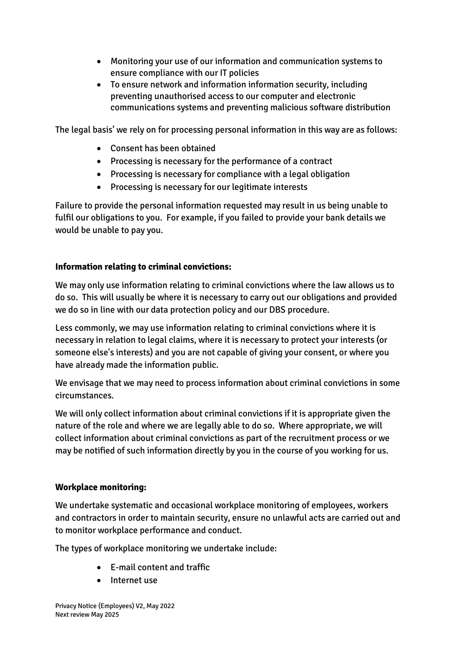- Monitoring your use of our information and communication systems to ensure compliance with our IT policies
- To ensure network and information information security, including preventing unauthorised access to our computer and electronic communications systems and preventing malicious software distribution

The legal basis' we rely on for processing personal information in this way are as follows:

- Consent has been obtained
- Processing is necessary for the performance of a contract
- Processing is necessary for compliance with a legal obligation
- Processing is necessary for our legitimate interests

Failure to provide the personal information requested may result in us being unable to fulfil our obligations to you. For example, if you failed to provide your bank details we would be unable to pay you.

## **Information relating to criminal convictions:**

We may only use information relating to criminal convictions where the law allows us to do so. This will usually be where it is necessary to carry out our obligations and provided we do so in line with our data protection policy and our DBS procedure.

Less commonly, we may use information relating to criminal convictions where it is necessary in relation to legal claims, where it is necessary to protect your interests (or someone else's interests) and you are not capable of giving your consent, or where you have already made the information public.

We envisage that we may need to process information about criminal convictions in some circumstances.

We will only collect information about criminal convictions if it is appropriate given the nature of the role and where we are legally able to do so. Where appropriate, we will collect information about criminal convictions as part of the recruitment process or we may be notified of such information directly by you in the course of you working for us.

## **Workplace monitoring:**

We undertake systematic and occasional workplace monitoring of employees, workers and contractors in order to maintain security, ensure no unlawful acts are carried out and to monitor workplace performance and conduct.

The types of workplace monitoring we undertake include:

- E-mail content and traffic
- Internet use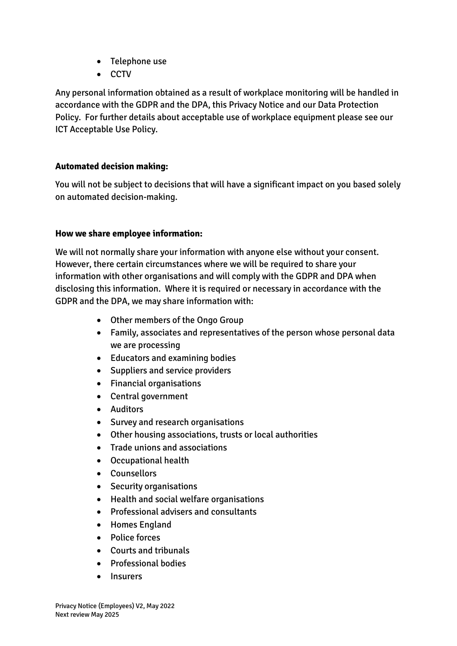- Telephone use
- CCTV

Any personal information obtained as a result of workplace monitoring will be handled in accordance with the GDPR and the DPA, this Privacy Notice and our Data Protection Policy. For further details about acceptable use of workplace equipment please see our ICT Acceptable Use Policy.

## **Automated decision making:**

You will not be subject to decisions that will have a significant impact on you based solely on automated decision-making.

#### **How we share employee information:**

We will not normally share your information with anyone else without your consent. However, there certain circumstances where we will be required to share your information with other organisations and will comply with the GDPR and DPA when disclosing this information. Where it is required or necessary in accordance with the GDPR and the DPA, we may share information with:

- Other members of the Ongo Group
- Family, associates and representatives of the person whose personal data we are processing
- Educators and examining bodies
- Suppliers and service providers
- Financial organisations
- Central government
- Auditors
- Survey and research organisations
- Other housing associations, trusts or local authorities
- Trade unions and associations
- Occupational health
- Counsellors
- Security organisations
- Health and social welfare organisations
- Professional advisers and consultants
- Homes England
- Police forces
- Courts and tribunals
- Professional bodies
- Insurers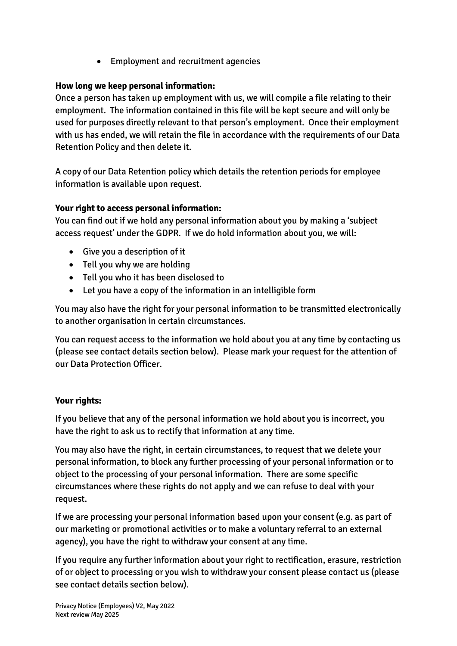• Employment and recruitment agencies

# **How long we keep personal information:**

Once a person has taken up employment with us, we will compile a file relating to their employment. The information contained in this file will be kept secure and will only be used for purposes directly relevant to that person's employment. Once their employment with us has ended, we will retain the file in accordance with the requirements of our Data Retention Policy and then delete it.

A copy of our Data Retention policy which details the retention periods for employee information is available upon request.

## **Your right to access personal information:**

You can find out if we hold any personal information about you by making a 'subject access request' under the GDPR. If we do hold information about you, we will:

- Give you a description of it
- Tell you why we are holding
- Tell you who it has been disclosed to
- Let you have a copy of the information in an intelligible form

You may also have the right for your personal information to be transmitted electronically to another organisation in certain circumstances.

You can request access to the information we hold about you at any time by contacting us (please see contact details section below). Please mark your request for the attention of our Data Protection Officer.

## **Your rights:**

If you believe that any of the personal information we hold about you is incorrect, you have the right to ask us to rectify that information at any time.

You may also have the right, in certain circumstances, to request that we delete your personal information, to block any further processing of your personal information or to object to the processing of your personal information. There are some specific circumstances where these rights do not apply and we can refuse to deal with your request.

If we are processing your personal information based upon your consent (e.g. as part of our marketing or promotional activities or to make a voluntary referral to an external agency), you have the right to withdraw your consent at any time.

If you require any further information about your right to rectification, erasure, restriction of or object to processing or you wish to withdraw your consent please contact us (please see contact details section below).